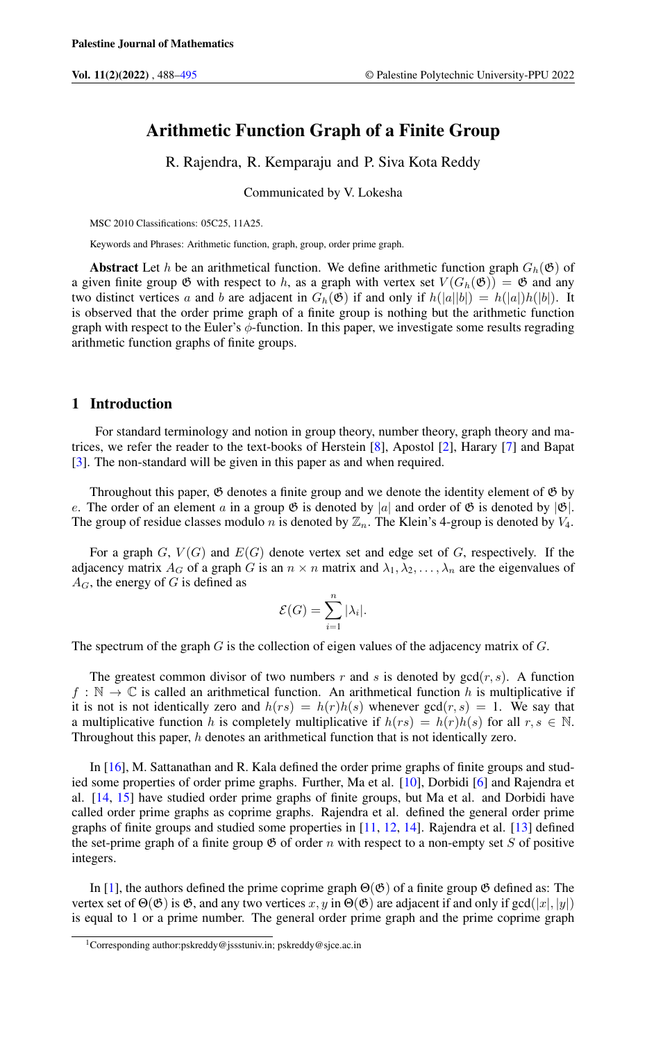# Arithmetic Function Graph of a Finite Group

R. Rajendra, R. Kemparaju and P. Siva Kota Reddy

Communicated by V. Lokesha

MSC 2010 Classifications: 05C25, 11A25.

Keywords and Phrases: Arithmetic function, graph, group, order prime graph.

**Abstract** Let h be an arithmetical function. We define arithmetic function graph  $G_h(\mathfrak{G})$  of a given finite group  $\mathfrak G$  with respect to h, as a graph with vertex set  $V(G_h(\mathfrak G)) = \mathfrak G$  and any two distinct vertices a and b are adjacent in  $G_h(\mathfrak{G})$  if and only if  $h(|a||b|) = h(|a|)h(|b|)$ . It is observed that the order prime graph of a finite group is nothing but the arithmetic function graph with respect to the Euler's  $\phi$ -function. In this paper, we investigate some results regrading arithmetic function graphs of finite groups.

### 1 Introduction

For standard terminology and notion in group theory, number theory, graph theory and matrices, we refer the reader to the text-books of Herstein [\[8\]](#page-6-1), Apostol [\[2\]](#page-6-2), Harary [\[7\]](#page-6-3) and Bapat [\[3\]](#page-6-4). The non-standard will be given in this paper as and when required.

Throughout this paper,  $\mathfrak G$  denotes a finite group and we denote the identity element of  $\mathfrak G$  by e. The order of an element a in a group  $\mathfrak G$  is denoted by |a| and order of  $\mathfrak G$  is denoted by  $|\mathfrak G|$ . The group of residue classes modulo n is denoted by  $\mathbb{Z}_n$ . The Klein's 4-group is denoted by  $V_4$ .

For a graph G,  $V(G)$  and  $E(G)$  denote vertex set and edge set of G, respectively. If the adjacency matrix  $A_G$  of a graph G is an  $n \times n$  matrix and  $\lambda_1, \lambda_2, \ldots, \lambda_n$  are the eigenvalues of  $A_G$ , the energy of G is defined as

$$
\mathcal{E}(G) = \sum_{i=1}^{n} |\lambda_i|.
$$

The spectrum of the graph  $G$  is the collection of eigen values of the adjacency matrix of  $G$ .

The greatest common divisor of two numbers r and s is denoted by  $gcd(r, s)$ . A function  $f : \mathbb{N} \to \mathbb{C}$  is called an arithmetical function. An arithmetical function h is multiplicative if it is not is not identically zero and  $h(rs) = h(r)h(s)$  whenever  $gcd(r, s) = 1$ . We say that a multiplicative function h is completely multiplicative if  $h(rs) = h(r)h(s)$  for all  $r, s \in \mathbb{N}$ . Throughout this paper, h denotes an arithmetical function that is not identically zero.

In [\[16\]](#page-6-5), M. Sattanathan and R. Kala defined the order prime graphs of finite groups and studied some properties of order prime graphs. Further, Ma et al. [\[10\]](#page-6-6), Dorbidi [\[6\]](#page-6-7) and Rajendra et al. [\[14,](#page-6-8) [15\]](#page-6-9) have studied order prime graphs of finite groups, but Ma et al. and Dorbidi have called order prime graphs as coprime graphs. Rajendra et al. defined the general order prime graphs of finite groups and studied some properties in [\[11,](#page-6-10) [12,](#page-6-11) [14\]](#page-6-8). Rajendra et al. [\[13\]](#page-6-12) defined the set-prime graph of a finite group  $\mathfrak G$  of order n with respect to a non-empty set S of positive integers.

In [\[1\]](#page-6-13), the authors defined the prime coprime graph  $\Theta(\mathfrak{G})$  of a finite group  $\mathfrak{G}$  defined as: The vertex set of  $\Theta(\mathfrak{G})$  is  $\mathfrak{G}$ , and any two vertices x, y in  $\Theta(\mathfrak{G})$  are adjacent if and only if  $gcd(|x|, |y|)$ is equal to 1 or a prime number. The general order prime graph and the prime coprime graph

<sup>1</sup>Corresponding author:pskreddy@jssstuniv.in; pskreddy@sjce.ac.in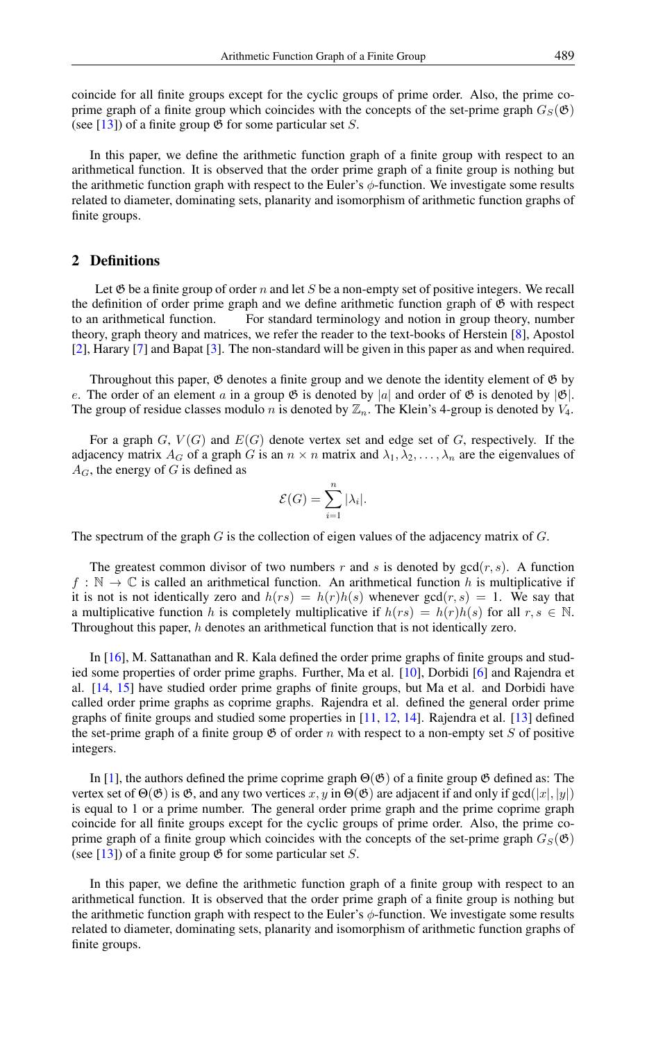coincide for all finite groups except for the cyclic groups of prime order. Also, the prime coprime graph of a finite group which coincides with the concepts of the set-prime graph  $G_S(\mathfrak{G})$ (see [\[13\]](#page-6-12)) of a finite group  $\mathfrak G$  for some particular set S.

In this paper, we define the arithmetic function graph of a finite group with respect to an arithmetical function. It is observed that the order prime graph of a finite group is nothing but the arithmetic function graph with respect to the Euler's  $\phi$ -function. We investigate some results related to diameter, dominating sets, planarity and isomorphism of arithmetic function graphs of finite groups.

## 2 Definitions

Let  $\mathfrak G$  be a finite group of order n and let S be a non-empty set of positive integers. We recall the definition of order prime graph and we define arithmetic function graph of  $\mathfrak{G}$  with respect to an arithmetical function. For standard terminology and notion in group theory, number theory, graph theory and matrices, we refer the reader to the text-books of Herstein [\[8\]](#page-6-1), Apostol [\[2\]](#page-6-2), Harary [\[7\]](#page-6-3) and Bapat [\[3\]](#page-6-4). The non-standard will be given in this paper as and when required.

Throughout this paper,  $\mathfrak G$  denotes a finite group and we denote the identity element of  $\mathfrak G$  by e. The order of an element a in a group  $\mathfrak G$  is denoted by |a| and order of  $\mathfrak G$  is denoted by  $|\mathfrak G|$ . The group of residue classes modulo n is denoted by  $\mathbb{Z}_n$ . The Klein's 4-group is denoted by  $V_4$ .

For a graph  $G, V(G)$  and  $E(G)$  denote vertex set and edge set of G, respectively. If the adjacency matrix  $A_G$  of a graph G is an  $n \times n$  matrix and  $\lambda_1, \lambda_2, \ldots, \lambda_n$  are the eigenvalues of  $A_G$ , the energy of G is defined as

$$
\mathcal{E}(G) = \sum_{i=1}^{n} |\lambda_i|.
$$

The spectrum of the graph  $G$  is the collection of eigen values of the adjacency matrix of  $G$ .

The greatest common divisor of two numbers r and s is denoted by  $gcd(r, s)$ . A function  $f : \mathbb{N} \to \mathbb{C}$  is called an arithmetical function. An arithmetical function h is multiplicative if it is not is not identically zero and  $h(rs) = h(r)h(s)$  whenever  $gcd(r, s) = 1$ . We say that a multiplicative function h is completely multiplicative if  $h(rs) = h(r)h(s)$  for all  $r, s \in \mathbb{N}$ . Throughout this paper, h denotes an arithmetical function that is not identically zero.

In [\[16\]](#page-6-5), M. Sattanathan and R. Kala defined the order prime graphs of finite groups and studied some properties of order prime graphs. Further, Ma et al. [\[10\]](#page-6-6), Dorbidi [\[6\]](#page-6-7) and Rajendra et al. [\[14,](#page-6-8) [15\]](#page-6-9) have studied order prime graphs of finite groups, but Ma et al. and Dorbidi have called order prime graphs as coprime graphs. Rajendra et al. defined the general order prime graphs of finite groups and studied some properties in [\[11,](#page-6-10) [12,](#page-6-11) [14\]](#page-6-8). Rajendra et al. [\[13\]](#page-6-12) defined the set-prime graph of a finite group  $\mathfrak G$  of order n with respect to a non-empty set S of positive integers.

In [\[1\]](#page-6-13), the authors defined the prime coprime graph  $\Theta(\mathfrak{G})$  of a finite group  $\mathfrak{G}$  defined as: The vertex set of  $\Theta(\mathfrak{G})$  is  $\mathfrak{G}$ , and any two vertices  $x, y$  in  $\Theta(\mathfrak{G})$  are adjacent if and only if gcd(|x|, |y|) is equal to 1 or a prime number. The general order prime graph and the prime coprime graph coincide for all finite groups except for the cyclic groups of prime order. Also, the prime coprime graph of a finite group which coincides with the concepts of the set-prime graph  $G_S(\mathfrak{G})$ (see [\[13\]](#page-6-12)) of a finite group  $\mathfrak G$  for some particular set S.

In this paper, we define the arithmetic function graph of a finite group with respect to an arithmetical function. It is observed that the order prime graph of a finite group is nothing but the arithmetic function graph with respect to the Euler's  $\phi$ -function. We investigate some results related to diameter, dominating sets, planarity and isomorphism of arithmetic function graphs of finite groups.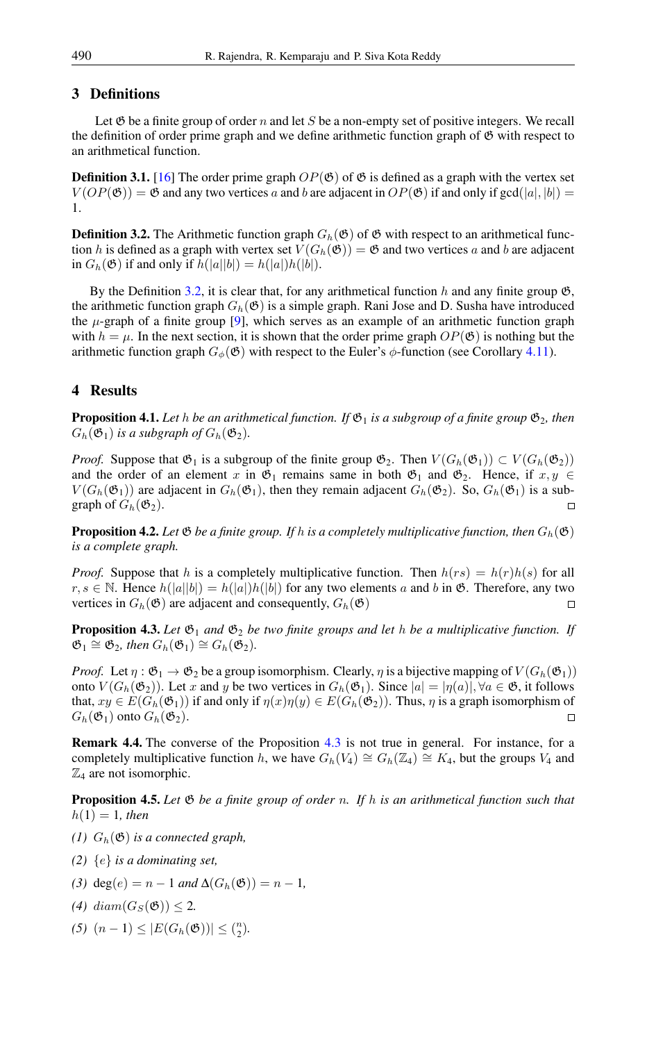## 3 Definitions

Let  $\mathfrak G$  be a finite group of order n and let S be a non-empty set of positive integers. We recall the definition of order prime graph and we define arithmetic function graph of  $\mathfrak G$  with respect to an arithmetical function.

<span id="page-2-3"></span>**Definition 3.1.** [\[16\]](#page-6-5) The order prime graph  $OP(\mathfrak{G})$  of  $\mathfrak{G}$  is defined as a graph with the vertex set  $V(OP(\mathfrak{G})) = \mathfrak{G}$  and any two vertices a and b are adjacent in  $OP(\mathfrak{G})$  if and only if  $gcd(|a|, |b|)$  = 1.

<span id="page-2-0"></span>**Definition 3.2.** The Arithmetic function graph  $G_h(\mathfrak{G})$  of  $\mathfrak{G}$  with respect to an arithmetical function h is defined as a graph with vertex set  $V(G_h(\mathfrak{G})) = \mathfrak{G}$  and two vertices a and b are adjacent in  $G_h(\mathfrak{G})$  if and only if  $h(|a||b|) = h(|a|)h(|b|)$ .

By the Definition [3.2,](#page-2-0) it is clear that, for any arithmetical function h and any finite group  $\mathfrak{G}$ , the arithmetic function graph  $G_h(\mathfrak{G})$  is a simple graph. Rani Jose and D. Susha have introduced the  $\mu$ -graph of a finite group [\[9\]](#page-6-14), which serves as an example of an arithmetic function graph with  $h = \mu$ . In the next section, it is shown that the order prime graph  $OP(\mathfrak{G})$  is nothing but the arithmetic function graph  $G_{\phi}(\mathfrak{G})$  with respect to the Euler's  $\phi$ -function (see Corollary [4.11\)](#page-4-0).

# 4 Results

**Proposition 4.1.** Let h be an arithmetical function. If  $\mathfrak{G}_1$  is a subgroup of a finite group  $\mathfrak{G}_2$ , then  $G_h(\mathfrak{G}_1)$  *is a subgraph of*  $G_h(\mathfrak{G}_2)$ *.* 

*Proof.* Suppose that  $\mathfrak{G}_1$  is a subgroup of the finite group  $\mathfrak{G}_2$ . Then  $V(G_h(\mathfrak{G}_1)) \subset V(G_h(\mathfrak{G}_2))$ and the order of an element x in  $\mathfrak{G}_1$  remains same in both  $\mathfrak{G}_1$  and  $\mathfrak{G}_2$ . Hence, if  $x, y \in$  $V(G_h(\mathfrak{G}_1))$  are adjacent in  $G_h(\mathfrak{G}_1)$ , then they remain adjacent  $G_h(\mathfrak{G}_2)$ . So,  $G_h(\mathfrak{G}_1)$  is a subgraph of  $G_h(\mathfrak{G}_2)$ .  $\Box$ 

**Proposition 4.2.** Let  $\mathfrak{G}$  *be a finite group. If h is a completely multiplicative function, then*  $G_h(\mathfrak{G})$ *is a complete graph.*

*Proof.* Suppose that h is a completely multiplicative function. Then  $h(rs) = h(r)h(s)$  for all  $r, s \in \mathbb{N}$ . Hence  $h(|a||b|) = h(|a|)h(|b|)$  for any two elements a and b in  $\mathfrak{G}$ . Therefore, any two vertices in  $G_h(\mathfrak{G})$  are adjacent and consequently,  $G_h(\mathfrak{G})$ 

<span id="page-2-1"></span>**Proposition 4.3.** Let  $\mathfrak{G}_1$  and  $\mathfrak{G}_2$  be two finite groups and let h be a multiplicative function. If  $\mathfrak{G}_1 \cong \mathfrak{G}_2$ , then  $G_h(\mathfrak{G}_1) \cong G_h(\mathfrak{G}_2)$ .

*Proof.* Let  $\eta : \mathfrak{G}_1 \to \mathfrak{G}_2$  be a group isomorphism. Clearly,  $\eta$  is a bijective mapping of  $V(G_h(\mathfrak{G}_1))$ onto  $V(G_h(\mathfrak{G}_2))$ . Let x and y be two vertices in  $G_h(\mathfrak{G}_1)$ . Since  $|a| = |\eta(a)|, \forall a \in \mathfrak{G}$ , it follows that,  $xy \in E(G_h(\mathfrak{G}_1))$  if and only if  $\eta(x)\eta(y) \in E(G_h(\mathfrak{G}_2))$ . Thus,  $\eta$  is a graph isomorphism of  $G_h(\mathfrak{G}_1)$  onto  $G_h(\mathfrak{G}_2)$ .  $\Box$ 

Remark 4.4. The converse of the Proposition [4.3](#page-2-1) is not true in general. For instance, for a completely multiplicative function h, we have  $G_h(V_4) \cong G_h(\mathbb{Z}_4) \cong K_4$ , but the groups  $V_4$  and  $\mathbb{Z}_4$  are not isomorphic.

Proposition 4.5. *Let* G *be a finite group of order* n*. If* h *is an arithmetical function such that*  $h(1) = 1$ , then

- *(1)*  $G_h(\mathfrak{G})$  *is a connected graph,*
- *(2)* {e} *is a dominating set,*
- *(3)* deg(*e*) = *n* − 1 *and*  $\Delta(G_h(\mathfrak{G})) = n 1$ *,*
- *(4)*  $diam(G_S(\mathfrak{G})) < 2$ .
- <span id="page-2-2"></span> $(5)$   $(n-1)$  ≤  $|E(G_h(\mathfrak{G}))|$  ≤  $\binom{n}{2}$ *.*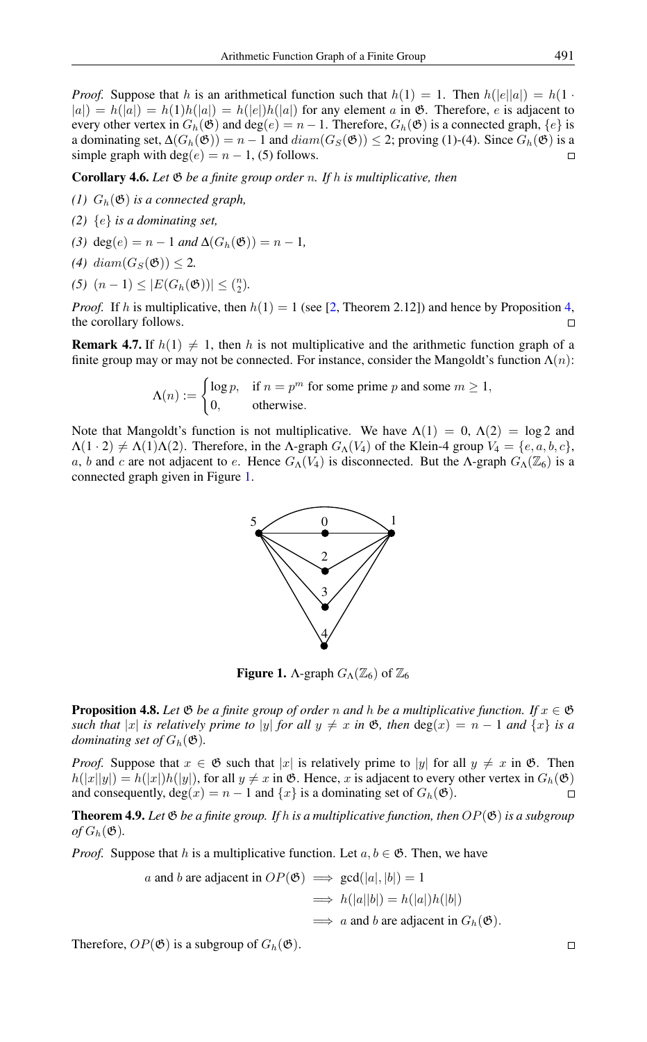*Proof.* Suppose that h is an arithmetical function such that  $h(1) = 1$ . Then  $h(|e||a|) = h(1 \cdot$  $|a|$ ) = h(|a|) = h(1)h(|a|) = h(|e|)h(|a|) for any element a in  $\mathfrak{G}$ . Therefore, e is adjacent to every other vertex in  $G_h(\mathfrak{G})$  and  $\deg(e) = n - 1$ . Therefore,  $G_h(\mathfrak{G})$  is a connected graph,  $\{e\}$  is a dominating set,  $\Delta(G_h(\mathfrak{G})) = n - 1$  and  $diam(G_S(\mathfrak{G})) \leq 2$ ; proving (1)-(4). Since  $G_h(\mathfrak{G})$  is a simple graph with deg(e) =  $n - 1$ , (5) follows.

Corollary 4.6. *Let* G *be a finite group order* n*. If* h *is multiplicative, then*

- *(1)*  $G_h(\mathfrak{G})$  *is a connected graph,*
- *(2)* {e} *is a dominating set,*
- *(3)* deg(e) =  $n 1$  *and*  $\Delta(G_h(\mathfrak{G})) = n 1$ *,*
- (4)  $diam(G_S(\mathfrak{G})) < 2$ .
- $(5)$   $(n-1)$  ≤  $|E(G_h(\mathfrak{G}))|$  ≤  $\binom{n}{2}$ *.*

*Proof.* If h is multiplicative, then  $h(1) = 1$  (see [\[2,](#page-6-2) Theorem 2.12]) and hence by Proposition [4,](#page-2-2) the corollary follows.

**Remark 4.7.** If  $h(1) \neq 1$ , then h is not multiplicative and the arithmetic function graph of a finite group may or may not be connected. For instance, consider the Mangoldt's function  $\Lambda(n)$ :

$$
\Lambda(n) := \begin{cases} \log p, & \text{if } n = p^m \text{ for some prime } p \text{ and some } m \ge 1, \\ 0, & \text{otherwise.} \end{cases}
$$

Note that Mangoldt's function is not multiplicative. We have  $\Lambda(1) = 0$ ,  $\Lambda(2) = \log 2$  and  $\Lambda(1 \cdot 2) \neq \Lambda(1)\Lambda(2)$ . Therefore, in the Λ-graph  $G_{\Lambda}(V_4)$  of the Klein-4 group  $V_4 = \{e, a, b, c\}$ , a, b and c are not adjacent to e. Hence  $G_0(V_4)$  is disconnected. But the  $\Lambda$ -graph  $G_0(\mathbb{Z}_6)$  is a connected graph given in Figure [1.](#page-3-0)



<span id="page-3-0"></span>**Figure 1.** A-graph  $G_{\Lambda}(\mathbb{Z}_6)$  of  $\mathbb{Z}_6$ 

**Proposition 4.8.** Let  $\mathfrak{G}$  *be a finite group of order* n *and* h *be a multiplicative function.* If  $x \in \mathfrak{G}$ *such that* |x| *is relatively prime to* |y| *for all*  $y \neq x$  *in*  $\mathfrak{G}$ *, then*  $\deg(x) = n - 1$  *and*  $\{x\}$  *is a dominating set of*  $G_h(\mathfrak{G})$ *.* 

*Proof.* Suppose that  $x \in \mathfrak{G}$  such that |x| is relatively prime to |y| for all  $y \neq x$  in  $\mathfrak{G}$ . Then  $h(|x||y|) = h(|x|)h(|y|)$ , for all  $y \neq x$  in  $\mathfrak{G}$ . Hence, x is adjacent to every other vertex in  $G_h(\mathfrak{G})$ and consequently,  $deg(x) = n - 1$  and  $\{x\}$  is a dominating set of  $G_h(\mathfrak{G})$ .  $\Box$ 

<span id="page-3-1"></span>**Theorem 4.9.** Let  $\mathfrak{G}$  be a finite group. If h is a multiplicative function, then  $OP(\mathfrak{G})$  is a subgroup  $of$   $G_h$ ( $\mathfrak{G}$ ).

*Proof.* Suppose that h is a multiplicative function. Let  $a, b \in \mathfrak{G}$ . Then, we have

*a* and *b* are adjacent in 
$$
OP(\mathfrak{G}) \implies \gcd(|a|, |b|) = 1
$$
  
 $\implies h(|a||b|) = h(|a|)h(|b|)$   
 $\implies a$  and *b* are adjacent in  $G_h(\mathfrak{G})$ .

Therefore,  $OP(\mathfrak{G})$  is a subgroup of  $G_h(\mathfrak{G})$ .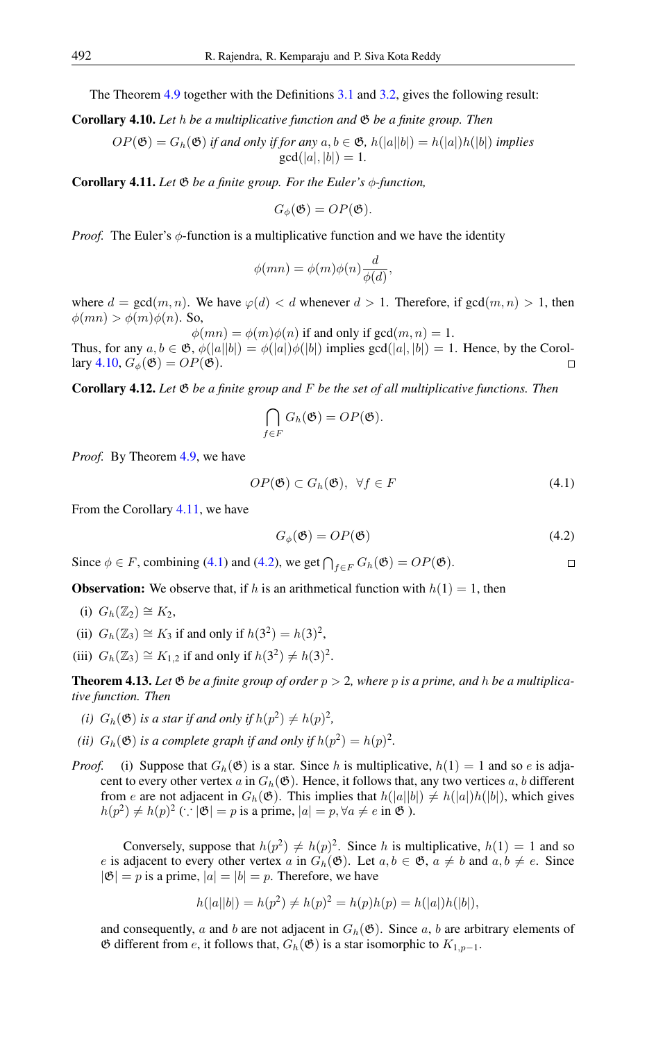The Theorem [4.9](#page-3-1) together with the Definitions [3.1](#page-2-3) and [3.2,](#page-2-0) gives the following result:

<span id="page-4-1"></span>Corollary 4.10. *Let* h *be a multiplicative function and* G *be a finite group. Then*

 $OP(\mathfrak{G}) = G_h(\mathfrak{G})$  *if and only if for any*  $a, b \in \mathfrak{G}$ ,  $h(|a||b|) = h(|a|)h(|b|)$  *implies*  $gcd(|a|, |b|) = 1.$ 

<span id="page-4-0"></span>Corollary 4.11. *Let* G *be a finite group. For the Euler's* φ*-function,*

$$
G_{\phi}(\mathfrak{G}) = OP(\mathfrak{G}).
$$

*Proof.* The Euler's  $\phi$ -function is a multiplicative function and we have the identity

$$
\phi(mn) = \phi(m)\phi(n)\frac{d}{\phi(d)},
$$

where  $d = \gcd(m, n)$ . We have  $\varphi(d) < d$  whenever  $d > 1$ . Therefore, if  $\gcd(m, n) > 1$ , then  $\phi(mn) > \phi(m)\phi(n)$ . So,

 $\phi(mn) = \phi(m)\phi(n)$  if and only if gcd $(m, n) = 1$ . Thus, for any  $a, b \in \mathfrak{G}, \phi(|a||b|) = \phi(|a|)\phi(|b|)$  implies  $gcd(|a|, |b|) = 1$ . Hence, by the Corol-lary [4.10,](#page-4-1)  $G_{\phi}(\mathfrak{G}) = OP(\mathfrak{G})$ .  $\Box$ 

Corollary 4.12. *Let* G *be a finite group and* F *be the set of all multiplicative functions. Then*

$$
\bigcap_{f\in F} G_h(\mathfrak{G})=OP(\mathfrak{G}).
$$

*Proof.* By Theorem [4.9,](#page-3-1) we have

$$
OP(\mathfrak{G}) \subset G_h(\mathfrak{G}), \ \forall f \in F \tag{4.1}
$$

From the Corollary [4.11,](#page-4-0) we have

<span id="page-4-3"></span><span id="page-4-2"></span>
$$
G_{\phi}(\mathfrak{G}) = OP(\mathfrak{G}) \tag{4.2}
$$

Since  $\phi \in F$ , combining [\(4.1\)](#page-4-2) and [\(4.2\)](#page-4-3), we get  $\bigcap_{f \in F} G_h(\mathfrak{G}) = OP(\mathfrak{G})$ .  $\Box$ 

**Observation:** We observe that, if h is an arithmetical function with  $h(1) = 1$ , then

- (i)  $G_h(\mathbb{Z}_2) \cong K_2$ ,
- (ii)  $G_h(\mathbb{Z}_3) \cong K_3$  if and only if  $h(3^2) = h(3)^2$ ,
- (iii)  $G_h(\mathbb{Z}_3) \cong K_{1,2}$  if and only if  $h(3^2) \neq h(3)^2$ .

<span id="page-4-4"></span>**Theorem 4.13.** Let  $\mathfrak{G}$  be a finite group of order  $p > 2$ , where p is a prime, and h be a multiplica*tive function. Then*

- *(i)*  $G_h(\mathfrak{G})$  *is a star if and only if*  $h(p^2) \neq h(p)^2$ ,
- *(ii)*  $G_h(\mathfrak{G})$  *is a complete graph if and only if*  $h(p^2) = h(p)^2$ *.*
- *Proof.* (i) Suppose that  $G_h(\mathfrak{G})$  is a star. Since h is multiplicative,  $h(1) = 1$  and so e is adjacent to every other vertex a in  $G_h(\mathfrak{G})$ . Hence, it follows that, any two vertices a, b different from e are not adjacent in  $G_h(\mathfrak{G})$ . This implies that  $h(|a||b|) \neq h(|a|)h(|b|)$ , which gives  $h(p^2) \neq h(p)^2$  (:  $|\mathfrak{G}| = p$  is a prime,  $|a| = p, \forall a \neq e$  in  $\mathfrak{G}$ ).

Conversely, suppose that  $h(p^2) \neq h(p)^2$ . Since h is multiplicative,  $h(1) = 1$  and so e is adjacent to every other vertex a in  $G_h(\mathfrak{G})$ . Let  $a, b \in \mathfrak{G}$ ,  $a \neq b$  and  $a, b \neq e$ . Since  $|\mathfrak{G}| = p$  is a prime,  $|a| = |b| = p$ . Therefore, we have

$$
h(|a||b|) = h(p^2) \neq h(p)^2 = h(p)h(p) = h(|a|)h(|b|),
$$

and consequently, a and b are not adjacent in  $G_h(\mathfrak{G})$ . Since a, b are arbitrary elements of  $\emptyset$  different from *e*, it follows that,  $G_h(\emptyset)$  is a star isomorphic to  $K_{1,p-1}$ .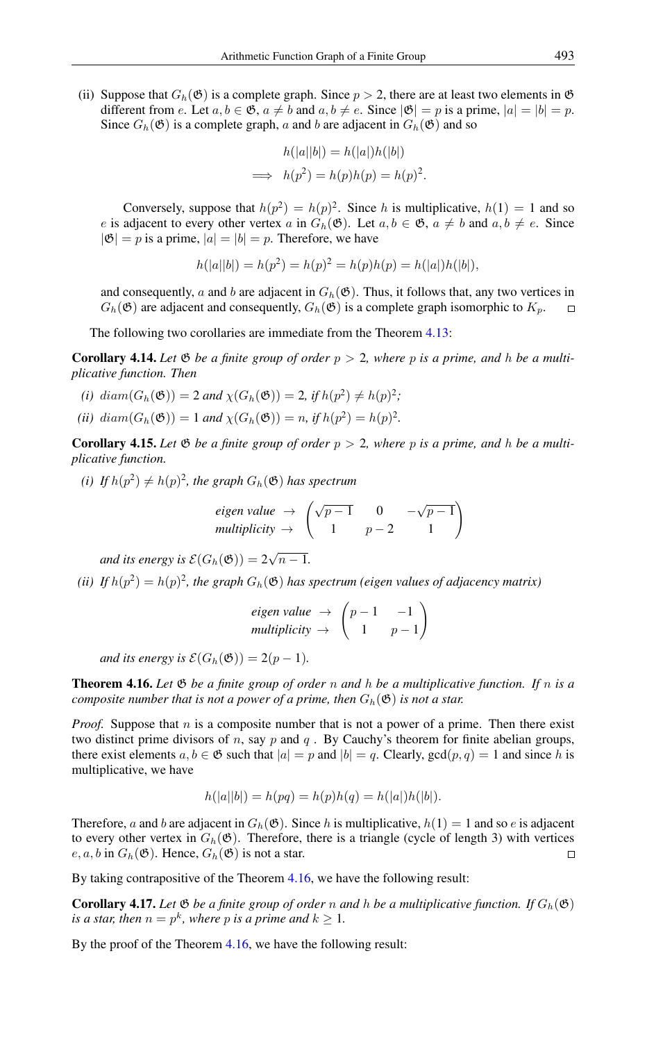(ii) Suppose that  $G_h(\mathfrak{G})$  is a complete graph. Since  $p > 2$ , there are at least two elements in  $\mathfrak{G}$ different from e. Let  $a, b \in \mathfrak{G}$ ,  $a \neq b$  and  $a, b \neq e$ . Since  $|\mathfrak{G}| = p$  is a prime,  $|a| = |b| = p$ . Since  $G_h$ ( $\mathfrak{G}$ ) is a complete graph, a and b are adjacent in  $G_h$ ( $\mathfrak{G}$ ) and so

$$
h(|a||b|) = h(|a|)h(|b|)
$$
  
\n
$$
\implies h(p^2) = h(p)h(p) = h(p)^2.
$$

Conversely, suppose that  $h(p^2) = h(p)^2$ . Since h is multiplicative,  $h(1) = 1$  and so e is adjacent to every other vertex a in  $G_h(\mathfrak{G})$ . Let  $a, b \in \mathfrak{G}$ ,  $a \neq b$  and  $a, b \neq e$ . Since  $|\mathfrak{G}| = p$  is a prime,  $|a| = |b| = p$ . Therefore, we have

$$
h(|a||b|) = h(p2) = h(p)2 = h(p)h(p) = h(|a|)h(|b|),
$$

and consequently, a and b are adjacent in  $G_h(\mathfrak{G})$ . Thus, it follows that, any two vertices in  $G_h(\mathfrak{G})$  are adjacent and consequently,  $G_h(\mathfrak{G})$  is a complete graph isomorphic to  $K_p$ .

The following two corollaries are immediate from the Theorem [4.13:](#page-4-4)

**Corollary 4.14.** Let  $\mathfrak{G}$  be a finite group of order  $p > 2$ , where p is a prime, and h be a multi*plicative function. Then*

- *(i)*  $diam(G_h(\mathfrak{G})) = 2$  *and*  $\chi(G_h(\mathfrak{G})) = 2$ *, if*  $h(p^2) \neq h(p)^2$ ;
- *(ii)*  $diam(G_h(\mathfrak{G})) = 1$  *and*  $\chi(G_h(\mathfrak{G})) = n$ *, if*  $h(p^2) = h(p)^2$ *.*

**Corollary 4.15.** Let  $\mathfrak{G}$  be a finite group of order  $p > 2$ , where p is a prime, and h be a multi*plicative function.*

*(i)* If  $h(p^2) \neq h(p)^2$ , the graph  $G_h(\mathfrak{G})$  has spectrum

eigen value 
$$
\rightarrow \begin{pmatrix} \sqrt{p-1} & 0 & -\sqrt{p-1} \\ 1 & p-2 & 1 \end{pmatrix}
$$
  
multiplicity  $\rightarrow \begin{pmatrix} 1 & 0 & -\sqrt{p-1} \\ 1 & p-2 & 1 \end{pmatrix}$ 

and its energy is  $\mathcal{E}(G_h(\mathfrak{G})) = 2\sqrt{3}$  $n-1$ .

(*ii*) If  $h(p^2) = h(p)^2$ , the graph  $G_h(\mathfrak{G})$  has spectrum (eigen values of adjacency matrix)

eigen value 
$$
\rightarrow
$$
  $\begin{pmatrix} p-1 & -1 \\ 1 & p-1 \end{pmatrix}$   
multiplicity  $\rightarrow$   $\begin{pmatrix} 1 & p-1 \\ 1 & p-1 \end{pmatrix}$ 

*and its energy is*  $\mathcal{E}(G_h(\mathfrak{G})) = 2(p-1)$ *.* 

<span id="page-5-0"></span>Theorem 4.16. *Let* G *be a finite group of order* n *and* h *be a multiplicative function. If* n *is a composite number that is not a power of a prime, then*  $G_h(\mathfrak{G})$  *is not a star.* 

*Proof.* Suppose that  $n$  is a composite number that is not a power of a prime. Then there exist two distinct prime divisors of n, say p and q. By Cauchy's theorem for finite abelian groups, there exist elements  $a, b \in \mathfrak{G}$  such that  $|a| = p$  and  $|b| = q$ . Clearly,  $gcd(p, q) = 1$  and since h is multiplicative, we have

$$
h(|a||b|) = h(pq) = h(p)h(q) = h(|a|)h(|b|).
$$

Therefore, a and b are adjacent in  $G_h(\mathfrak{G})$ . Since h is multiplicative,  $h(1) = 1$  and so e is adjacent to every other vertex in  $G_h(\mathfrak{G})$ . Therefore, there is a triangle (cycle of length 3) with vertices  $e, a, b$  in  $G_h(\mathfrak{G})$ . Hence,  $G_h(\mathfrak{G})$  is not a star.  $\Box$ 

By taking contrapositive of the Theorem [4.16,](#page-5-0) we have the following result:

**Corollary 4.17.** Let  $\mathfrak{G}$  *be a finite group of order* n *and* h *be a multiplicative function.* If  $G_h(\mathfrak{G})$ *is a star, then*  $n = p^k$ *, where* p *is a prime and*  $k \geq 1$ *.* 

By the proof of the Theorem [4.16,](#page-5-0) we have the following result: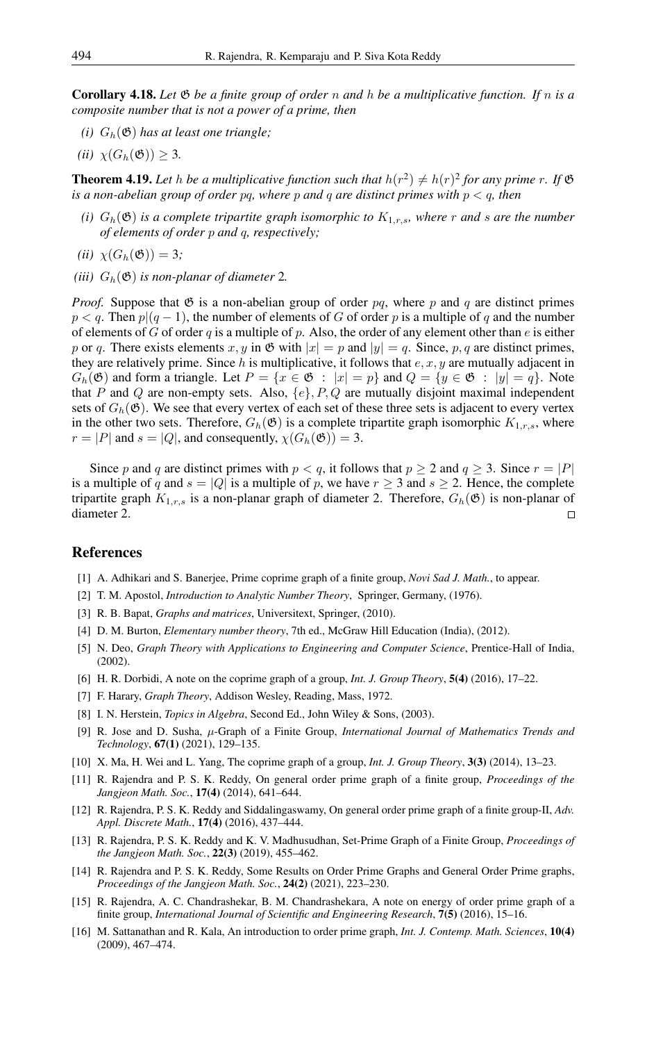Corollary 4.18. *Let* G *be a finite group of order* n *and* h *be a multiplicative function. If* n *is a composite number that is not a power of a prime, then*

- *(i)*  $G_h(\mathfrak{G})$  *has at least one triangle;*
- *(ii)*  $\chi(G_h(\mathfrak{G})) \geq 3$ .

**Theorem 4.19.** Let h be a multiplicative function such that  $h(r^2) \neq h(r)^2$  for any prime r. If  $\mathfrak{G}$ *is a non-abelian group of order* pq*, where* p *and* q *are distinct primes with* p < q*, then*

- *(i)*  $G_h(\mathfrak{G})$  *is a complete tripartite graph isomorphic to*  $K_{1,r,s}$ *, where* r *and s are the number of elements of order* p *and* q*, respectively;*
- *(ii)*  $\chi(G_h(\mathfrak{G})) = 3;$
- *(iii)*  $G_h(\mathfrak{G})$  *is non-planar of diameter* 2*.*

*Proof.* Suppose that  $\mathfrak{G}$  is a non-abelian group of order pq, where p and q are distinct primes  $p < q$ . Then  $p|(q-1)$ , the number of elements of G of order p is a multiple of q and the number of elements of G of order q is a multiple of p. Also, the order of any element other than e is either p or q. There exists elements x, y in  $\mathfrak{G}$  with  $|x| = p$  and  $|y| = q$ . Since, p, q are distinct primes, they are relatively prime. Since h is multiplicative, it follows that  $e, x, y$  are mutually adjacent in  $G_h(\mathfrak{G})$  and form a triangle. Let  $P = \{x \in \mathfrak{G} : |x| = p\}$  and  $Q = \{y \in \mathfrak{G} : |y| = q\}$ . Note that P and Q are non-empty sets. Also,  $\{e\}$ ,  $P$ ,  $Q$  are mutually disjoint maximal independent sets of  $G_h(\mathfrak{G})$ . We see that every vertex of each set of these three sets is adjacent to every vertex in the other two sets. Therefore,  $G_h(\mathfrak{G})$  is a complete tripartite graph isomorphic  $K_{1,r,s}$ , where  $r = |P|$  and  $s = |Q|$ , and consequently,  $\chi(G_h(\mathfrak{G})) = 3$ .

Since p and q are distinct primes with  $p < q$ , it follows that  $p \ge 2$  and  $q \ge 3$ . Since  $r = |P|$ is a multiple of q and  $s = |Q|$  is a multiple of p, we have  $r \ge 3$  and  $s \ge 2$ . Hence, the complete tripartite graph  $K_{1,r,s}$  is a non-planar graph of diameter 2. Therefore,  $G_h(\mathfrak{G})$  is non-planar of diameter 2.  $\Box$ 

### <span id="page-6-0"></span>References

- <span id="page-6-13"></span>[1] A. Adhikari and S. Banerjee, Prime coprime graph of a finite group, *Novi Sad J. Math.*, to appear.
- <span id="page-6-2"></span>[2] T. M. Apostol, *Introduction to Analytic Number Theory*, Springer, Germany, (1976).
- <span id="page-6-4"></span>[3] R. B. Bapat, *Graphs and matrices*, Universitext, Springer, (2010).
- [4] D. M. Burton, *Elementary number theory*, 7th ed., McGraw Hill Education (India), (2012).
- [5] N. Deo, *Graph Theory with Applications to Engineering and Computer Science*, Prentice-Hall of India, (2002).
- <span id="page-6-7"></span>[6] H. R. Dorbidi, A note on the coprime graph of a group, *Int. J. Group Theory*, 5(4) (2016), 17–22.
- <span id="page-6-3"></span>[7] F. Harary, *Graph Theory*, Addison Wesley, Reading, Mass, 1972.
- <span id="page-6-1"></span>[8] I. N. Herstein, *Topics in Algebra*, Second Ed., John Wiley & Sons, (2003).
- <span id="page-6-14"></span>[9] R. Jose and D. Susha, µ-Graph of a Finite Group, *International Journal of Mathematics Trends and Technology*, 67(1) (2021), 129–135.
- <span id="page-6-6"></span>[10] X. Ma, H. Wei and L. Yang, The coprime graph of a group, *Int. J. Group Theory*, 3(3) (2014), 13–23.
- <span id="page-6-10"></span>[11] R. Rajendra and P. S. K. Reddy, On general order prime graph of a finite group, *Proceedings of the Jangjeon Math. Soc.*, 17(4) (2014), 641–644.
- <span id="page-6-11"></span>[12] R. Rajendra, P. S. K. Reddy and Siddalingaswamy, On general order prime graph of a finite group-II, *Adv. Appl. Discrete Math.*, 17(4) (2016), 437–444.
- <span id="page-6-12"></span>[13] R. Rajendra, P. S. K. Reddy and K. V. Madhusudhan, Set-Prime Graph of a Finite Group, *Proceedings of the Jangjeon Math. Soc.*, 22(3) (2019), 455–462.
- <span id="page-6-8"></span>[14] R. Rajendra and P. S. K. Reddy, Some Results on Order Prime Graphs and General Order Prime graphs, *Proceedings of the Jangjeon Math. Soc.*, 24(2) (2021), 223–230.
- <span id="page-6-9"></span>[15] R. Rajendra, A. C. Chandrashekar, B. M. Chandrashekara, A note on energy of order prime graph of a finite group, *International Journal of Scientific and Engineering Research*, 7(5) (2016), 15–16.
- <span id="page-6-5"></span>[16] M. Sattanathan and R. Kala, An introduction to order prime graph, *Int. J. Contemp. Math. Sciences*, 10(4) (2009), 467–474.